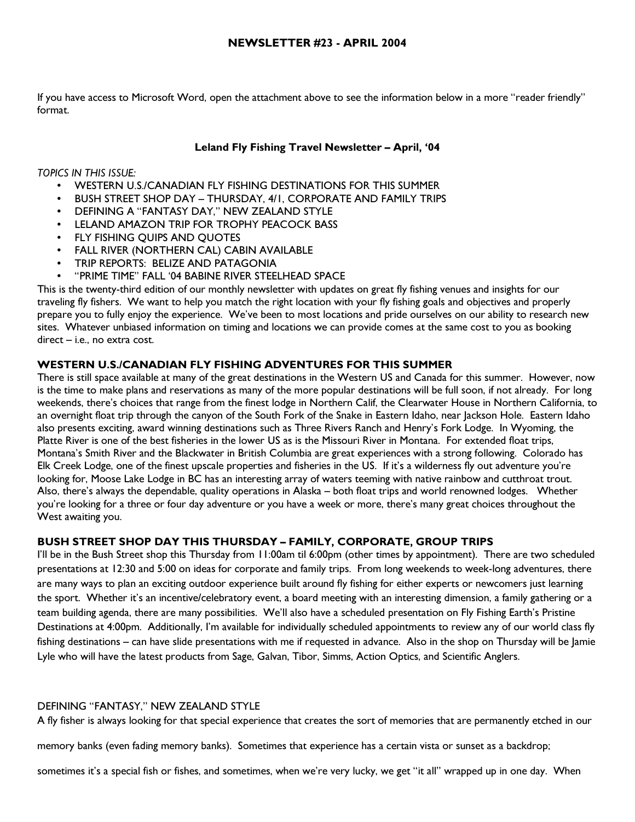If you have access to Microsoft Word, open the attachment above to see the information below in a more "reader friendly" format.

### Leland Fly Fishing Travel Newsletter – April, '04

TOPICS IN THIS ISSUE:

- WESTERN U.S./CANADIAN FLY FISHING DESTINATIONS FOR THIS SUMMER
- BUSH STREET SHOP DAY THURSDAY, 4/1, CORPORATE AND FAMILY TRIPS
- DEFINING A "FANTASY DAY," NEW ZEALAND STYLE
- LELAND AMAZON TRIP FOR TROPHY PEACOCK BASS
- **FLY FISHING QUIPS AND QUOTES**
- FALL RIVER (NORTHERN CAL) CABIN AVAILABLE
- TRIP REPORTS: BELIZE AND PATAGONIA
- "PRIME TIME" FALL '04 BABINE RIVER STEELHEAD SPACE

This is the twenty-third edition of our monthly newsletter with updates on great fly fishing venues and insights for our traveling fly fishers. We want to help you match the right location with your fly fishing goals and objectives and properly prepare you to fully enjoy the experience. We've been to most locations and pride ourselves on our ability to research new sites. Whatever unbiased information on timing and locations we can provide comes at the same cost to you as booking direct – i.e., no extra cost.

# WESTERN U.S./CANADIAN FLY FISHING ADVENTURES FOR THIS SUMMER

There is still space available at many of the great destinations in the Western US and Canada for this summer. However, now is the time to make plans and reservations as many of the more popular destinations will be full soon, if not already. For long weekends, there's choices that range from the finest lodge in Northern Calif, the Clearwater House in Northern California, to an overnight float trip through the canyon of the South Fork of the Snake in Eastern Idaho, near Jackson Hole. Eastern Idaho also presents exciting, award winning destinations such as Three Rivers Ranch and Henry's Fork Lodge. In Wyoming, the Platte River is one of the best fisheries in the lower US as is the Missouri River in Montana. For extended float trips, Montana's Smith River and the Blackwater in British Columbia are great experiences with a strong following. Colorado has Elk Creek Lodge, one of the finest upscale properties and fisheries in the US. If it's a wilderness fly out adventure you're looking for, Moose Lake Lodge in BC has an interesting array of waters teeming with native rainbow and cutthroat trout. Also, there's always the dependable, quality operations in Alaska – both float trips and world renowned lodges. Whether you're looking for a three or four day adventure or you have a week or more, there's many great choices throughout the West awaiting you.

# BUSH STREET SHOP DAY THIS THURSDAY – FAMILY, CORPORATE, GROUP TRIPS

I'll be in the Bush Street shop this Thursday from 11:00am til 6:00pm (other times by appointment). There are two scheduled presentations at 12:30 and 5:00 on ideas for corporate and family trips. From long weekends to week-long adventures, there are many ways to plan an exciting outdoor experience built around fly fishing for either experts or newcomers just learning the sport. Whether it's an incentive/celebratory event, a board meeting with an interesting dimension, a family gathering or a team building agenda, there are many possibilities. We'll also have a scheduled presentation on Fly Fishing Earth's Pristine Destinations at 4:00pm. Additionally, I'm available for individually scheduled appointments to review any of our world class fly fishing destinations – can have slide presentations with me if requested in advance. Also in the shop on Thursday will be lamie Lyle who will have the latest products from Sage, Galvan, Tibor, Simms, Action Optics, and Scientific Anglers.

## DEFINING "FANTASY," NEW ZEALAND STYLE

A fly fisher is always looking for that special experience that creates the sort of memories that are permanently etched in our

memory banks (even fading memory banks). Sometimes that experience has a certain vista or sunset as a backdrop;

sometimes it's a special fish or fishes, and sometimes, when we're very lucky, we get "it all" wrapped up in one day. When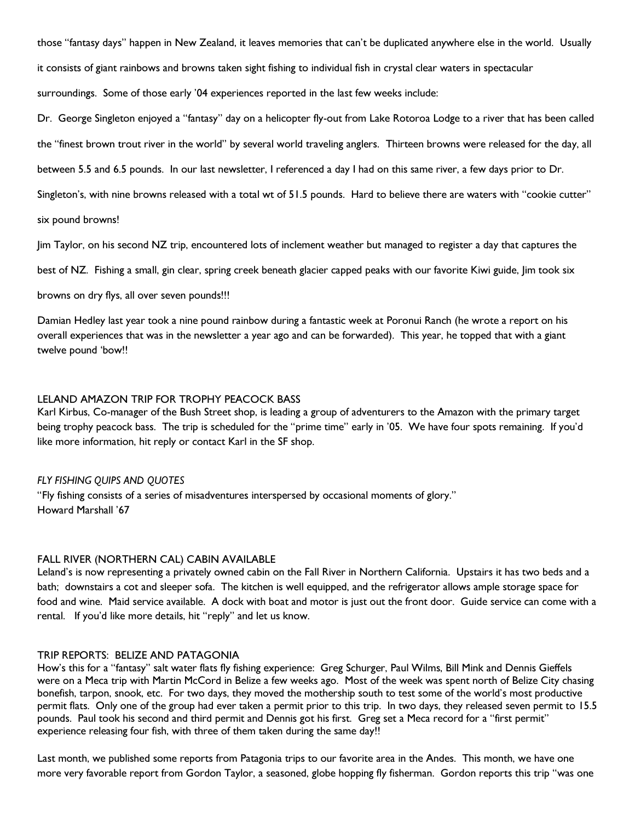those "fantasy days" happen in New Zealand, it leaves memories that can't be duplicated anywhere else in the world. Usually

it consists of giant rainbows and browns taken sight fishing to individual fish in crystal clear waters in spectacular

surroundings. Some of those early '04 experiences reported in the last few weeks include:

Dr. George Singleton enjoyed a "fantasy" day on a helicopter fly-out from Lake Rotoroa Lodge to a river that has been called

the "finest brown trout river in the world" by several world traveling anglers. Thirteen browns were released for the day, all

between 5.5 and 6.5 pounds. In our last newsletter, I referenced a day I had on this same river, a few days prior to Dr.

Singleton's, with nine browns released with a total wt of 51.5 pounds. Hard to believe there are waters with "cookie cutter"

six pound browns!

Jim Taylor, on his second NZ trip, encountered lots of inclement weather but managed to register a day that captures the

best of NZ. Fishing a small, gin clear, spring creek beneath glacier capped peaks with our favorite Kiwi guide, Jim took six

browns on dry flys, all over seven pounds!!!

Damian Hedley last year took a nine pound rainbow during a fantastic week at Poronui Ranch (he wrote a report on his overall experiences that was in the newsletter a year ago and can be forwarded). This year, he topped that with a giant twelve pound 'bow!!

### LELAND AMAZON TRIP FOR TROPHY PEACOCK BASS

Karl Kirbus, Co-manager of the Bush Street shop, is leading a group of adventurers to the Amazon with the primary target being trophy peacock bass. The trip is scheduled for the "prime time" early in '05. We have four spots remaining. If you'd like more information, hit reply or contact Karl in the SF shop.

#### FLY FISHING QUIPS AND QUOTES

"Fly fishing consists of a series of misadventures interspersed by occasional moments of glory." Howard Marshall '67

### FALL RIVER (NORTHERN CAL) CABIN AVAILABLE

Leland's is now representing a privately owned cabin on the Fall River in Northern California. Upstairs it has two beds and a bath; downstairs a cot and sleeper sofa. The kitchen is well equipped, and the refrigerator allows ample storage space for food and wine. Maid service available. A dock with boat and motor is just out the front door. Guide service can come with a rental. If you'd like more details, hit "reply" and let us know.

#### TRIP REPORTS: BELIZE AND PATAGONIA

How's this for a "fantasy" salt water flats fly fishing experience: Greg Schurger, Paul Wilms, Bill Mink and Dennis Gieffels were on a Meca trip with Martin McCord in Belize a few weeks ago. Most of the week was spent north of Belize City chasing bonefish, tarpon, snook, etc. For two days, they moved the mothership south to test some of the world's most productive permit flats. Only one of the group had ever taken a permit prior to this trip. In two days, they released seven permit to 15.5 pounds. Paul took his second and third permit and Dennis got his first. Greg set a Meca record for a "first permit" experience releasing four fish, with three of them taken during the same day!!

Last month, we published some reports from Patagonia trips to our favorite area in the Andes. This month, we have one more very favorable report from Gordon Taylor, a seasoned, globe hopping fly fisherman. Gordon reports this trip "was one